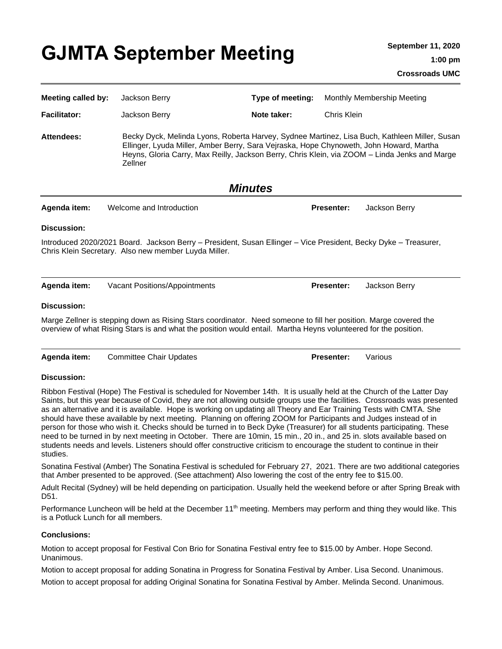| <b>Meeting called by:</b>                                                                                                                                                                                                                                                                                                                                                  | Jackson Berry                                                                                                                                                                                                                                                                                               | Type of meeting: |                   | Monthly Membership Meeting |
|----------------------------------------------------------------------------------------------------------------------------------------------------------------------------------------------------------------------------------------------------------------------------------------------------------------------------------------------------------------------------|-------------------------------------------------------------------------------------------------------------------------------------------------------------------------------------------------------------------------------------------------------------------------------------------------------------|------------------|-------------------|----------------------------|
| <b>Facilitator:</b>                                                                                                                                                                                                                                                                                                                                                        | Jackson Berry                                                                                                                                                                                                                                                                                               | Note taker:      | Chris Klein       |                            |
| Attendees:                                                                                                                                                                                                                                                                                                                                                                 | Becky Dyck, Melinda Lyons, Roberta Harvey, Sydnee Martinez, Lisa Buch, Kathleen Miller, Susan<br>Ellinger, Lyuda Miller, Amber Berry, Sara Vejraska, Hope Chynoweth, John Howard, Martha<br>Heyns, Gloria Carry, Max Reilly, Jackson Berry, Chris Klein, via ZOOM - Linda Jenks and Marge<br><b>Zellner</b> |                  |                   |                            |
| <b>Minutes</b>                                                                                                                                                                                                                                                                                                                                                             |                                                                                                                                                                                                                                                                                                             |                  |                   |                            |
| Agenda item:                                                                                                                                                                                                                                                                                                                                                               | Welcome and Introduction                                                                                                                                                                                                                                                                                    |                  | <b>Presenter:</b> | Jackson Berry              |
| Discussion:                                                                                                                                                                                                                                                                                                                                                                |                                                                                                                                                                                                                                                                                                             |                  |                   |                            |
| Introduced 2020/2021 Board. Jackson Berry - President, Susan Ellinger - Vice President, Becky Dyke - Treasurer,<br>Chris Klein Secretary. Also new member Luyda Miller.                                                                                                                                                                                                    |                                                                                                                                                                                                                                                                                                             |                  |                   |                            |
| Agenda item:                                                                                                                                                                                                                                                                                                                                                               | Vacant Positions/Appointments                                                                                                                                                                                                                                                                               |                  | <b>Presenter:</b> | Jackson Berry              |
| <b>Discussion:</b>                                                                                                                                                                                                                                                                                                                                                         |                                                                                                                                                                                                                                                                                                             |                  |                   |                            |
| Marge Zellner is stepping down as Rising Stars coordinator. Need someone to fill her position. Marge covered the<br>overview of what Rising Stars is and what the position would entail. Martha Heyns volunteered for the position.                                                                                                                                        |                                                                                                                                                                                                                                                                                                             |                  |                   |                            |
| Agenda item:                                                                                                                                                                                                                                                                                                                                                               | <b>Committee Chair Updates</b>                                                                                                                                                                                                                                                                              |                  | <b>Presenter:</b> | Various                    |
| <b>Discussion:</b>                                                                                                                                                                                                                                                                                                                                                         |                                                                                                                                                                                                                                                                                                             |                  |                   |                            |
| Ribbon Festival (Hope) The Festival is scheduled for November 14th. It is usually held at the Church of the Latter Day<br>Saints, but this year because of Covid, they are not allowing outside groups use the facilities. Crossroads was presented<br>as an alternative and it is available. Hope is working on updating all Theory and Ear Training Tests with CMTA. She |                                                                                                                                                                                                                                                                                                             |                  |                   |                            |

should have these available by next meeting. Planning on offering ZOOM for Participants and Judges instead of in person for those who wish it. Checks should be turned in to Beck Dyke (Treasurer) for all students participating. These need to be turned in by next meeting in October. There are 10min, 15 min., 20 in., and 25 in. slots available based on students needs and levels. Listeners should offer constructive criticism to encourage the student to continue in their studies.

Sonatina Festival (Amber) The Sonatina Festival is scheduled for February 27, 2021. There are two additional categories that Amber presented to be approved. (See attachment) Also lowering the cost of the entry fee to \$15.00.

Adult Recital (Sydney) will be held depending on participation. Usually held the weekend before or after Spring Break with D51.

Performance Luncheon will be held at the December 11<sup>th</sup> meeting. Members may perform and thing they would like. This is a Potluck Lunch for all members.

## **Conclusions:**

Motion to accept proposal for Festival Con Brio for Sonatina Festival entry fee to \$15.00 by Amber. Hope Second. Unanimous.

Motion to accept proposal for adding Sonatina in Progress for Sonatina Festival by Amber. Lisa Second. Unanimous. Motion to accept proposal for adding Original Sonatina for Sonatina Festival by Amber. Melinda Second. Unanimous.